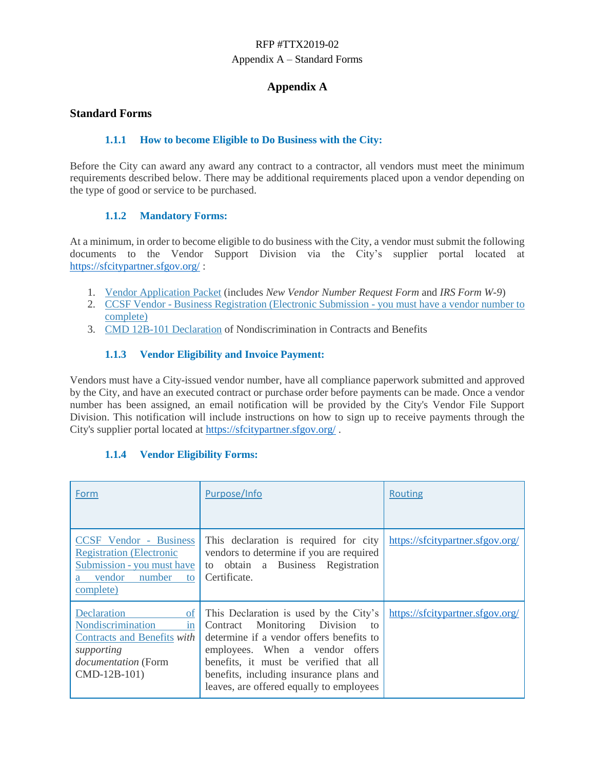## RFP #TTX2019-02 Appendix A – Standard Forms

## **Appendix A**

#### **Standard Forms**

#### **1.1.1 How to become Eligible to Do Business with the City:**

Before the City can award any award any contract to a contractor, all vendors must meet the minimum requirements described below. There may be additional requirements placed upon a vendor depending on the type of good or service to be purchased.

#### **1.1.2 Mandatory Forms:**

At a minimum, in order to become eligible to do business with the City, a vendor must submit the following documents to the Vendor Support Division via the City's supplier portal located at <https://sfcitypartner.sfgov.org/> :

- 1. [Vendor Application Packet](http://sfgov.org/oca/file/167) (includes *New Vendor Number Request Form* and *IRS Form W-9*)
- 2. [CC](http://www.sftreasurer.org/vendor)SF Vendor [Business Registration \(Electronic Submission -](http://www.sftreasurer.org/vendor) you must have a vendor number to [complete\)](http://www.sftreasurer.org/vendor)
- 3. [CMD 12B-101 Declaration](http://sfgov.org/oca/sites/default/files/CMD-12B-101%20Declaration.pdf) of Nondiscrimination in Contracts and Benefits

#### **1.1.3 Vendor Eligibility and Invoice Payment:**

Vendors must have a City-issued vendor number, have all compliance paperwork submitted and approved by the City, and have an executed contract or purchase order before payments can be made. Once a vendor number has been assigned, an email notification will be provided by the City's Vendor File Support Division. This notification will include instructions on how to sign up to receive payments through the City's supplier portal located at<https://sfcitypartner.sfgov.org/> .

#### **1.1.4 Vendor Eligibility Forms:**

| Form                                                                                                                                  | Purpose/Info                                                                                                                                                                                                                                                                                    | <b>Routing</b>                   |
|---------------------------------------------------------------------------------------------------------------------------------------|-------------------------------------------------------------------------------------------------------------------------------------------------------------------------------------------------------------------------------------------------------------------------------------------------|----------------------------------|
| <b>CCSF</b> Vendor - Business<br><b>Registration (Electronic</b><br>Submission - you must have<br>vendor<br>number<br>to<br>complete) | This declaration is required for city<br>vendors to determine if you are required<br>to obtain a Business Registration<br>Certificate.                                                                                                                                                          | https://sfcitypartner.sfgov.org/ |
| Declaration<br>of<br>Nondiscrimination<br>in<br>Contracts and Benefits with<br>supporting<br>documentation (Form<br>CMD-12B-101)      | This Declaration is used by the City's<br>Monitoring Division<br>Contract<br>to<br>determine if a vendor offers benefits to<br>employees. When a vendor offers<br>benefits, it must be verified that all<br>benefits, including insurance plans and<br>leaves, are offered equally to employees | https://sfcitypartner.sfgov.org/ |